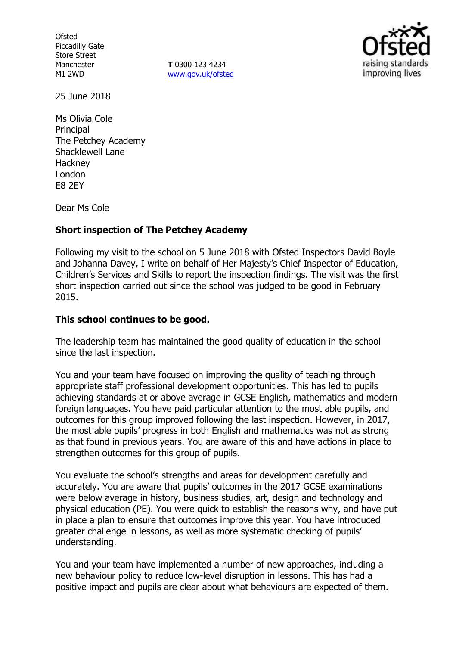**Ofsted** Piccadilly Gate Store Street Manchester M1 2WD

**T** 0300 123 4234 www.gov.uk/ofsted



25 June 2018

Ms Olivia Cole **Principal** The Petchey Academy Shacklewell Lane Hackney London E8 2EY

Dear Ms Cole

## **Short inspection of The Petchey Academy**

Following my visit to the school on 5 June 2018 with Ofsted Inspectors David Boyle and Johanna Davey, I write on behalf of Her Majesty's Chief Inspector of Education, Children's Services and Skills to report the inspection findings. The visit was the first short inspection carried out since the school was judged to be good in February 2015.

## **This school continues to be good.**

The leadership team has maintained the good quality of education in the school since the last inspection.

You and your team have focused on improving the quality of teaching through appropriate staff professional development opportunities. This has led to pupils achieving standards at or above average in GCSE English, mathematics and modern foreign languages. You have paid particular attention to the most able pupils, and outcomes for this group improved following the last inspection. However, in 2017, the most able pupils' progress in both English and mathematics was not as strong as that found in previous years. You are aware of this and have actions in place to strengthen outcomes for this group of pupils.

You evaluate the school's strengths and areas for development carefully and accurately. You are aware that pupils' outcomes in the 2017 GCSE examinations were below average in history, business studies, art, design and technology and physical education (PE). You were quick to establish the reasons why, and have put in place a plan to ensure that outcomes improve this year. You have introduced areater challenge in lessons, as well as more systematic checking of pupils' understanding.

You and your team have implemented a number of new approaches, including a new behaviour policy to reduce low-level disruption in lessons. This has had a positive impact and pupils are clear about what behaviours are expected of them.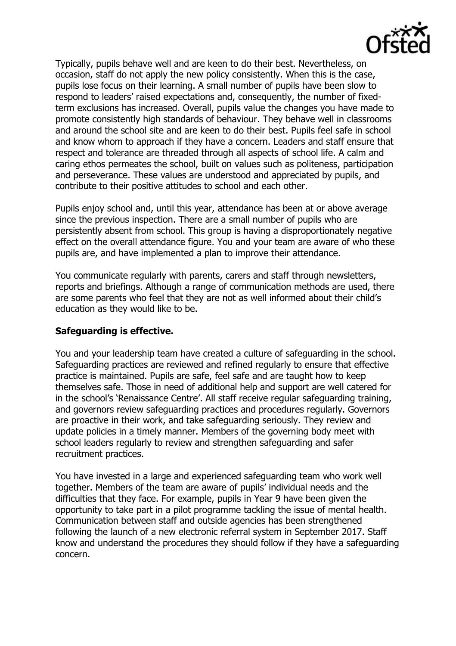

Typically, pupils behave well and are keen to do their best. Nevertheless, on occasion, staff do not apply the new policy consistently. When this is the case, pupils lose focus on their learning. A small number of pupils have been slow to respond to leaders' raised expectations and, consequently, the number of fixedterm exclusions has increased. Overall, pupils value the changes you have made to promote consistently high standards of behaviour. They behave well in classrooms and around the school site and are keen to do their best. Pupils feel safe in school and know whom to approach if they have a concern. Leaders and staff ensure that respect and tolerance are threaded through all aspects of school life. A calm and caring ethos permeates the school, built on values such as politeness, participation and perseverance. These values are understood and appreciated by pupils, and contribute to their positive attitudes to school and each other.

Pupils enjoy school and, until this year, attendance has been at or above average since the previous inspection. There are a small number of pupils who are persistently absent from school. This group is having a disproportionately negative effect on the overall attendance figure. You and your team are aware of who these pupils are, and have implemented a plan to improve their attendance.

You communicate regularly with parents, carers and staff through newsletters, reports and briefings. Although a range of communication methods are used, there are some parents who feel that they are not as well informed about their child's education as they would like to be.

## **Safeguarding is effective.**

You and your leadership team have created a culture of safeguarding in the school. Safeguarding practices are reviewed and refined regularly to ensure that effective practice is maintained. Pupils are safe, feel safe and are taught how to keep themselves safe. Those in need of additional help and support are well catered for in the school's 'Renaissance Centre'. All staff receive regular safeguarding training, and governors review safeguarding practices and procedures regularly. Governors are proactive in their work, and take safeguarding seriously. They review and update policies in a timely manner. Members of the governing body meet with school leaders regularly to review and strengthen safeguarding and safer recruitment practices.

You have invested in a large and experienced safeguarding team who work well together. Members of the team are aware of pupils' individual needs and the difficulties that they face. For example, pupils in Year 9 have been given the opportunity to take part in a pilot programme tackling the issue of mental health. Communication between staff and outside agencies has been strengthened following the launch of a new electronic referral system in September 2017. Staff know and understand the procedures they should follow if they have a safeguarding concern.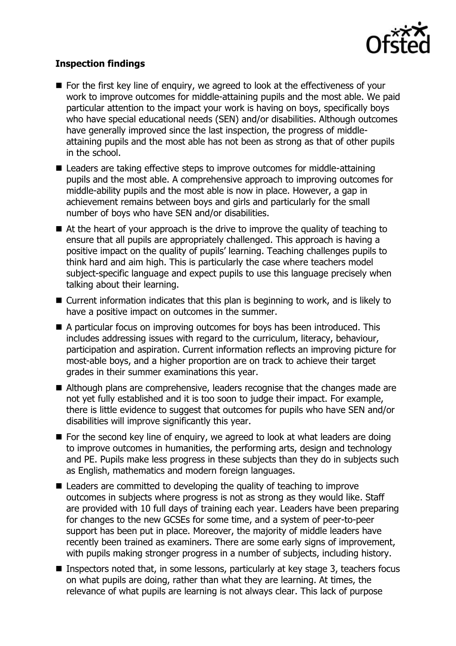

## **Inspection findings**

- For the first key line of enquiry, we agreed to look at the effectiveness of your work to improve outcomes for middle-attaining pupils and the most able. We paid particular attention to the impact your work is having on boys, specifically boys who have special educational needs (SEN) and/or disabilities. Although outcomes have generally improved since the last inspection, the progress of middleattaining pupils and the most able has not been as strong as that of other pupils in the school.
- Leaders are taking effective steps to improve outcomes for middle-attaining pupils and the most able. A comprehensive approach to improving outcomes for middle-ability pupils and the most able is now in place. However, a gap in achievement remains between boys and girls and particularly for the small number of boys who have SEN and/or disabilities.
- At the heart of your approach is the drive to improve the quality of teaching to ensure that all pupils are appropriately challenged. This approach is having a positive impact on the quality of pupils' learning. Teaching challenges pupils to think hard and aim high. This is particularly the case where teachers model subject-specific language and expect pupils to use this language precisely when talking about their learning.
- Current information indicates that this plan is beginning to work, and is likely to have a positive impact on outcomes in the summer.
- A particular focus on improving outcomes for boys has been introduced. This includes addressing issues with regard to the curriculum, literacy, behaviour, participation and aspiration. Current information reflects an improving picture for most-able boys, and a higher proportion are on track to achieve their target grades in their summer examinations this year.
- Although plans are comprehensive, leaders recognise that the changes made are not yet fully established and it is too soon to judge their impact. For example, there is little evidence to suggest that outcomes for pupils who have SEN and/or disabilities will improve significantly this year.
- $\blacksquare$  For the second key line of enquiry, we agreed to look at what leaders are doing to improve outcomes in humanities, the performing arts, design and technology and PE. Pupils make less progress in these subjects than they do in subjects such as English, mathematics and modern foreign languages.
- Leaders are committed to developing the quality of teaching to improve outcomes in subjects where progress is not as strong as they would like. Staff are provided with 10 full days of training each year. Leaders have been preparing for changes to the new GCSEs for some time, and a system of peer-to-peer support has been put in place. Moreover, the majority of middle leaders have recently been trained as examiners. There are some early signs of improvement, with pupils making stronger progress in a number of subjects, including history.
- Inspectors noted that, in some lessons, particularly at key stage 3, teachers focus on what pupils are doing, rather than what they are learning. At times, the relevance of what pupils are learning is not always clear. This lack of purpose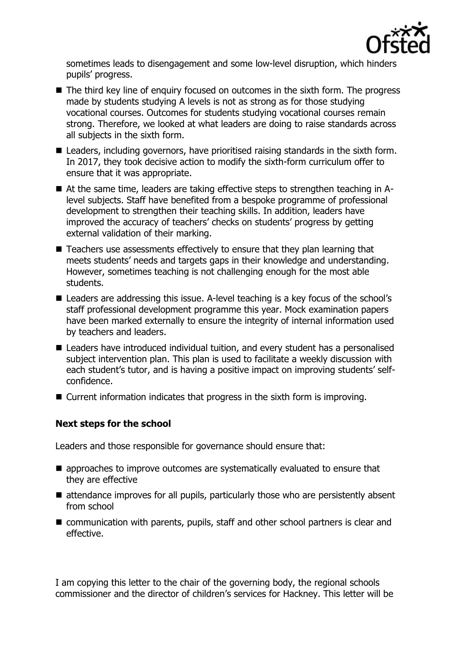

sometimes leads to disengagement and some low-level disruption, which hinders pupils' progress.

- The third key line of enquiry focused on outcomes in the sixth form. The progress made by students studying A levels is not as strong as for those studying vocational courses. Outcomes for students studying vocational courses remain strong. Therefore, we looked at what leaders are doing to raise standards across all subjects in the sixth form.
- Leaders, including governors, have prioritised raising standards in the sixth form. In 2017, they took decisive action to modify the sixth-form curriculum offer to ensure that it was appropriate.
- At the same time, leaders are taking effective steps to strengthen teaching in Alevel subjects. Staff have benefited from a bespoke programme of professional development to strengthen their teaching skills. In addition, leaders have improved the accuracy of teachers' checks on students' progress by getting external validation of their marking.
- Teachers use assessments effectively to ensure that they plan learning that meets students' needs and targets gaps in their knowledge and understanding. However, sometimes teaching is not challenging enough for the most able students.
- Leaders are addressing this issue. A-level teaching is a key focus of the school's staff professional development programme this year. Mock examination papers have been marked externally to ensure the integrity of internal information used by teachers and leaders.
- Leaders have introduced individual tuition, and every student has a personalised subject intervention plan. This plan is used to facilitate a weekly discussion with each student's tutor, and is having a positive impact on improving students' selfconfidence.
- Current information indicates that progress in the sixth form is improving.

# **Next steps for the school**

Leaders and those responsible for governance should ensure that:

- **E** approaches to improve outcomes are systematically evaluated to ensure that they are effective
- attendance improves for all pupils, particularly those who are persistently absent from school
- communication with parents, pupils, staff and other school partners is clear and effective.

I am copying this letter to the chair of the governing body, the regional schools commissioner and the director of children's services for Hackney. This letter will be